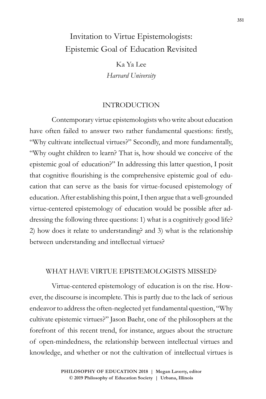# Invitation to Virtue Epistemologists: Epistemic Goal of Education Revisited

Ka Ya Lee *Harvard University*

### INTRODUCTION

Contemporary virtue epistemologists who write about education have often failed to answer two rather fundamental questions: firstly, "Why cultivate intellectual virtues?" Secondly, and more fundamentally, "Why ought children to learn? That is, how should we conceive of the epistemic goal of education?" In addressing this latter question, I posit that cognitive flourishing is the comprehensive epistemic goal of education that can serve as the basis for virtue-focused epistemology of education. After establishing this point, I then argue that a well-grounded virtue-centered epistemology of education would be possible after addressing the following three questions: 1) what is a cognitively good life? 2) how does it relate to understanding? and 3) what is the relationship between understanding and intellectual virtues?

### WHAT HAVE VIRTUE EPISTEMOLOGISTS MISSED?

Virtue-centered epistemology of education is on the rise. However, the discourse is incomplete. This is partly due to the lack of serious endeavor to address the often-neglected yet fundamental question, "Why cultivate epistemic virtues?" Jason Baehr, one of the philosophers at the forefront of this recent trend, for instance, argues about the structure of open-mindedness, the relationship between intellectual virtues and knowledge, and whether or not the cultivation of intellectual virtues is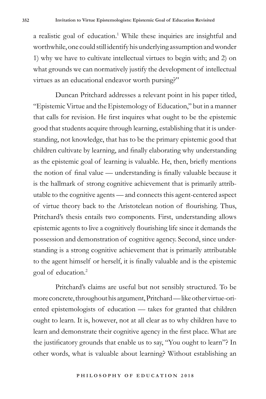a realistic goal of education.<sup>1</sup> While these inquiries are insightful and worthwhile, one could still identify his underlying assumption and wonder 1) why we have to cultivate intellectual virtues to begin with; and 2) on what grounds we can normatively justify the development of intellectual virtues as an educational endeavor worth pursing?"

Duncan Pritchard addresses a relevant point in his paper titled, "Epistemic Virtue and the Epistemology of Education," but in a manner that calls for revision. He first inquires what ought to be the epistemic good that students acquire through learning, establishing that it is understanding, not knowledge, that has to be the primary epistemic good that children cultivate by learning, and finally elaborating why understanding as the epistemic goal of learning is valuable. He, then, briefly mentions the notion of final value — understanding is finally valuable because it is the hallmark of strong cognitive achievement that is primarily attributable to the cognitive agents — and connects this agent-centered aspect of virtue theory back to the Aristotelean notion of flourishing. Thus, Pritchard's thesis entails two components. First, understanding allows epistemic agents to live a cognitively flourishing life since it demands the possession and demonstration of cognitive agency. Second, since understanding is a strong cognitive achievement that is primarily attributable to the agent himself or herself, it is finally valuable and is the epistemic goal of education.<sup>2</sup>

Pritchard's claims are useful but not sensibly structured. To be more concrete, throughout his argument, Pritchard — like other virtue-oriented epistemologists of education — takes for granted that children ought to learn. It is, however, not at all clear as to why children have to learn and demonstrate their cognitive agency in the first place. What are the justificatory grounds that enable us to say, "You ought to learn"? In other words, what is valuable about learning? Without establishing an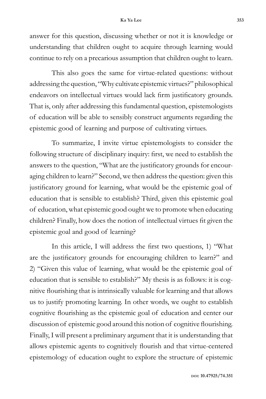answer for this question, discussing whether or not it is knowledge or understanding that children ought to acquire through learning would continue to rely on a precarious assumption that children ought to learn.

This also goes the same for virtue-related questions: without addressing the question, "Why cultivate epistemic virtues?" philosophical endeavors on intellectual virtues would lack firm justificatory grounds. That is, only after addressing this fundamental question, epistemologists of education will be able to sensibly construct arguments regarding the epistemic good of learning and purpose of cultivating virtues.

To summarize, I invite virtue epistemologists to consider the following structure of disciplinary inquiry: first, we need to establish the answers to the question, "What are the justificatory grounds for encouraging children to learn?" Second, we then address the question: given this justificatory ground for learning, what would be the epistemic goal of education that is sensible to establish? Third, given this epistemic goal of education, what epistemic good ought we to promote when educating children? Finally, how does the notion of intellectual virtues fit given the epistemic goal and good of learning?

In this article, I will address the first two questions, 1) "What are the justificatory grounds for encouraging children to learn?" and 2) "Given this value of learning, what would be the epistemic goal of education that is sensible to establish?" My thesis is as follows: it is cognitive flourishing that is intrinsically valuable for learning and that allows us to justify promoting learning. In other words, we ought to establish cognitive flourishing as the epistemic goal of education and center our discussion of epistemic good around this notion of cognitive flourishing. Finally, I will present a preliminary argument that it is understanding that allows epistemic agents to cognitively flourish and that virtue-centered epistemology of education ought to explore the structure of epistemic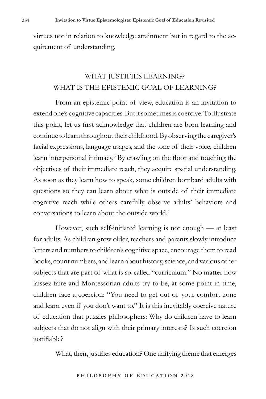virtues not in relation to knowledge attainment but in regard to the acquirement of understanding.

## WHAT JUSTIFIES LEARNING? WHAT IS THE EPISTEMIC GOAL OF LEARNING?

From an epistemic point of view, education is an invitation to extend one's cognitive capacities. But it sometimes is coercive. To illustrate this point, let us first acknowledge that children are born learning and continue to learn throughout their childhood. By observing the caregiver's facial expressions, language usages, and the tone of their voice, children learn interpersonal intimacy.3 By crawling on the floor and touching the objectives of their immediate reach, they acquire spatial understanding. As soon as they learn how to speak, some children bombard adults with questions so they can learn about what is outside of their immediate cognitive reach while others carefully observe adults' behaviors and conversations to learn about the outside world.<sup>4</sup>

However, such self-initiated learning is not enough — at least for adults. As children grow older, teachers and parents slowly introduce letters and numbers to children's cognitive space, encourage them to read books, count numbers, and learn about history, science, and various other subjects that are part of what is so-called "curriculum." No matter how laissez-faire and Montessorian adults try to be, at some point in time, children face a coercion: "You need to get out of your comfort zone and learn even if you don't want to." It is this inevitably coercive nature of education that puzzles philosophers: Why do children have to learn subjects that do not align with their primary interests? Is such coercion justifiable?

What, then, justifies education? One unifying theme that emerges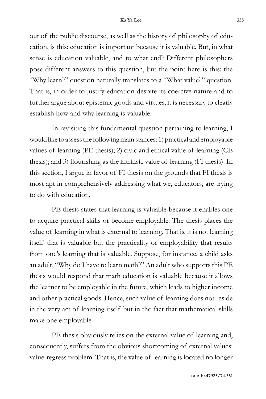out of the public discourse, as well as the history of philosophy of education, is this: education is important because it is valuable. But, in what sense is education valuable, and to what end? Different philosophers pose different answers to this question, but the point here is this: the "Why learn?" question naturally translates to a "What value?" question. That is, in order to justify education despite its coercive nature and to further argue about epistemic goods and virtues, it is necessary to clearly establish how and why learning is valuable.

In revisiting this fundamental question pertaining to learning, I would like to assess the following main stances: 1) practical and employable values of learning (PE thesis); 2) civic and ethical value of learning (CE thesis); and 3) flourishing as the intrinsic value of learning (FI thesis). In this section, I argue in favor of FI thesis on the grounds that FI thesis is most apt in comprehensively addressing what we, educators, are trying to do with education.

PE thesis states that learning is valuable because it enables one to acquire practical skills or become employable. The thesis places the value of learning in what is external to learning. That is, it is not learning itself that is valuable but the practicality or employability that results from one's learning that is valuable. Suppose, for instance, a child asks an adult, "Why do I have to learn math?" An adult who supports this PE thesis would respond that math education is valuable because it allows the learner to be employable in the future, which leads to higher income and other practical goods. Hence, such value of learning does not reside in the very act of learning itself but in the fact that mathematical skills make one employable.

PE thesis obviously relies on the external value of learning and, consequently, suffers from the obvious shortcoming of external values: value-regress problem. That is, the value of learning is located no longer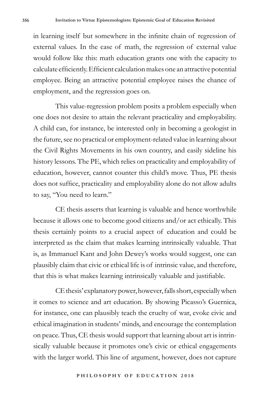in learning itself but somewhere in the infinite chain of regression of external values. In the case of math, the regression of external value would follow like this: math education grants one with the capacity to calculate efficiently. Efficient calculation makes one an attractive potential employee. Being an attractive potential employee raises the chance of employment, and the regression goes on.

This value-regression problem posits a problem especially when one does not desire to attain the relevant practicality and employability. A child can, for instance, be interested only in becoming a geologist in the future, see no practical or employment-related value in learning about the Civil Rights Movements in his own country, and easily sideline his history lessons. The PE, which relies on practicality and employability of education, however, cannot counter this child's move. Thus, PE thesis does not suffice, practicality and employability alone do not allow adults to say, "You need to learn."

CE thesis asserts that learning is valuable and hence worthwhile because it allows one to become good citizens and/or act ethically. This thesis certainly points to a crucial aspect of education and could be interpreted as the claim that makes learning intrinsically valuable. That is, as Immanuel Kant and John Dewey's works would suggest, one can plausibly claim that civic or ethical life is of intrinsic value, and therefore, that this is what makes learning intrinsically valuable and justifiable.

CE thesis' explanatory power, however, falls short, especially when it comes to science and art education. By showing Picasso's Guernica, for instance, one can plausibly teach the cruelty of war, evoke civic and ethical imagination in students' minds, and encourage the contemplation on peace. Thus, CE thesis would support that learning about art is intrinsically valuable because it promotes one's civic or ethical engagements with the larger world. This line of argument, however, does not capture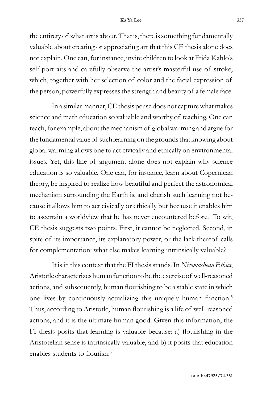the entirety of what art is about. That is, there is something fundamentally valuable about creating or appreciating art that this CE thesis alone does not explain. One can, for instance, invite children to look at Frida Kahlo's self-portraits and carefully observe the artist's masterful use of stroke, which, together with her selection of color and the facial expression of the person, powerfully expresses the strength and beauty of a female face.

In a similar manner, CE thesis per se does not capture what makes science and math education so valuable and worthy of teaching. One can teach, for example, about the mechanism of global warming and argue for the fundamental value of such learning on the grounds that knowing about global warming allows one to act civically and ethically on environmental issues. Yet, this line of argument alone does not explain why science education is so valuable. One can, for instance, learn about Copernican theory, be inspired to realize how beautiful and perfect the astronomical mechanism surrounding the Earth is, and cherish such learning not because it allows him to act civically or ethically but because it enables him to ascertain a worldview that he has never encountered before. To wit, CE thesis suggests two points. First, it cannot be neglected. Second, in spite of its importance, its explanatory power, or the lack thereof calls for complementation: what else makes learning intrinsically valuable?

It is in this context that the FI thesis stands. In *Nicomachean Ethics*, Aristotle characterizes human function to be the exercise of well-reasoned actions, and subsequently, human flourishing to be a stable state in which one lives by continuously actualizing this uniquely human function.<sup>5</sup> Thus, according to Aristotle, human flourishing is a life of well-reasoned actions, and it is the ultimate human good. Given this information, the FI thesis posits that learning is valuable because: a) flourishing in the Aristotelian sense is intrinsically valuable, and b) it posits that education enables students to flourish.6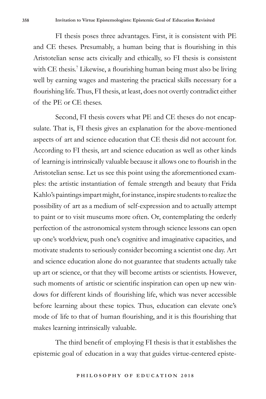FI thesis poses three advantages. First, it is consistent with PE and CE theses. Presumably, a human being that is flourishing in this Aristotelian sense acts civically and ethically, so FI thesis is consistent with CE thesis.<sup>7</sup> Likewise, a flourishing human being must also be living well by earning wages and mastering the practical skills necessary for a flourishing life. Thus, FI thesis, at least, does not overtly contradict either of the PE or CE theses.

Second, FI thesis covers what PE and CE theses do not encapsulate. That is, FI thesis gives an explanation for the above-mentioned aspects of art and science education that CE thesis did not account for. According to FI thesis, art and science education as well as other kinds of learning is intrinsically valuable because it allows one to flourish in the Aristotelian sense. Let us see this point using the aforementioned examples: the artistic instantiation of female strength and beauty that Frida Kahlo's paintings impart might, for instance, inspire students to realize the possibility of art as a medium of self-expression and to actually attempt to paint or to visit museums more often. Or, contemplating the orderly perfection of the astronomical system through science lessons can open up one's worldview, push one's cognitive and imaginative capacities, and motivate students to seriously consider becoming a scientist one day. Art and science education alone do not guarantee that students actually take up art or science, or that they will become artists or scientists. However, such moments of artistic or scientific inspiration can open up new windows for different kinds of flourishing life, which was never accessible before learning about these topics. Thus, education can elevate one's mode of life to that of human flourishing, and it is this flourishing that makes learning intrinsically valuable.

The third benefit of employing FI thesis is that it establishes the epistemic goal of education in a way that guides virtue-centered episte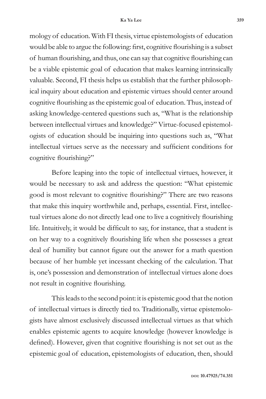mology of education. With FI thesis, virtue epistemologists of education would be able to argue the following: first, cognitive flourishing is a subset of human flourishing, and thus, one can say that cognitive flourishing can be a viable epistemic goal of education that makes learning intrinsically valuable. Second, FI thesis helps us establish that the further philosophical inquiry about education and epistemic virtues should center around cognitive flourishing as the epistemic goal of education. Thus, instead of asking knowledge-centered questions such as, "What is the relationship between intellectual virtues and knowledge?" Virtue-focused epistemologists of education should be inquiring into questions such as, "What intellectual virtues serve as the necessary and sufficient conditions for cognitive flourishing?"

Before leaping into the topic of intellectual virtues, however, it would be necessary to ask and address the question: "What epistemic good is most relevant to cognitive flourishing?" There are two reasons that make this inquiry worthwhile and, perhaps, essential. First, intellectual virtues alone do not directly lead one to live a cognitively flourishing life. Intuitively, it would be difficult to say, for instance, that a student is on her way to a cognitively flourishing life when she possesses a great deal of humility but cannot figure out the answer for a math question because of her humble yet incessant checking of the calculation. That is, one's possession and demonstration of intellectual virtues alone does not result in cognitive flourishing.

This leads to the second point: it is epistemic good that the notion of intellectual virtues is directly tied to. Traditionally, virtue epistemologists have almost exclusively discussed intellectual virtues as that which enables epistemic agents to acquire knowledge (however knowledge is defined). However, given that cognitive flourishing is not set out as the epistemic goal of education, epistemologists of education, then, should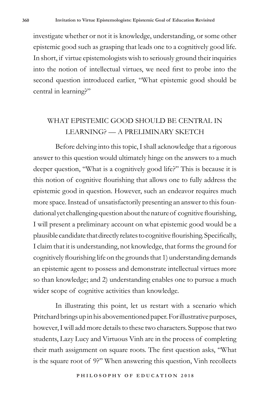investigate whether or not it is knowledge, understanding, or some other epistemic good such as grasping that leads one to a cognitively good life. In short, if virtue epistemologists wish to seriously ground their inquiries into the notion of intellectual virtues, we need first to probe into the second question introduced earlier, "What epistemic good should be central in learning?"

### WHAT EPISTEMIC GOOD SHOULD BE CENTRAL IN LEARNING? — A PRELIMINARY SKETCH

Before delving into this topic, I shall acknowledge that a rigorous answer to this question would ultimately hinge on the answers to a much deeper question, "What is a cognitively good life?" This is because it is this notion of cognitive flourishing that allows one to fully address the epistemic good in question. However, such an endeavor requires much more space. Instead of unsatisfactorily presenting an answer to this foundational yet challenging question about the nature of cognitive flourishing, I will present a preliminary account on what epistemic good would be a plausible candidate that directly relates to cognitive flourishing. Specifically, I claim that it is understanding, not knowledge, that forms the ground for cognitively flourishing life on the grounds that 1) understanding demands an epistemic agent to possess and demonstrate intellectual virtues more so than knowledge; and 2) understanding enables one to pursue a much wider scope of cognitive activities than knowledge.

In illustrating this point, let us restart with a scenario which Pritchard brings up in his abovementioned paper. For illustrative purposes, however, I will add more details to these two characters. Suppose that two students, Lazy Lucy and Virtuous Vinh are in the process of completing their math assignment on square roots. The first question asks, "What is the square root of 9?" When answering this question, Vinh recollects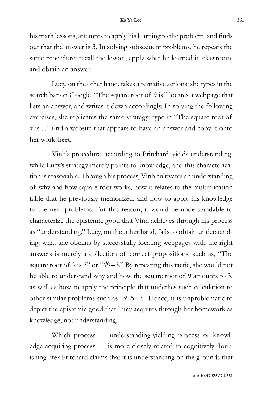his math lessons, attempts to apply his learning to the problem, and finds out that the answer is 3. In solving subsequent problems, he repeats the same procedure: recall the lesson, apply what he learned in classroom, and obtain an answer.

Lucy, on the other hand, takes alternative actions: she types in the search bar on Google, "The square root of 9 is," locates a webpage that lists an answer, and writes it down accordingly. In solving the following exercises, she replicates the same strategy: type in "The square root of x is ..." find a website that appears to have an answer and copy it onto her worksheet.

Vinh's procedure, according to Pritchard, yields understanding, while Lucy's strategy merely points to knowledge, and this characterization is reasonable. Through his process, Vinh cultivates an understanding of why and how square root works, how it relates to the multiplication table that he previously memorized, and how to apply his knowledge to the next problems. For this reason, it would be understandable to characterize the epistemic good that Vinh achieves through his process as "understanding." Lucy, on the other hand, fails to obtain understanding: what she obtains by successfully locating webpages with the right answers is merely a collection of correct propositions, such as, "The square root of 9 is 3" or " $\sqrt{9}$ =3." By repeating this tactic, she would not be able to understand why and how the square root of 9 amounts to 3, as well as how to apply the principle that underlies such calculation to other similar problems such as " $\sqrt{25}$ =?." Hence, it is unproblematic to depict the epistemic good that Lucy acquires through her homework as knowledge, not understanding.

Which process — understanding-yielding process or knowledge-acquiring process — is more closely related to cognitively flourishing life? Pritchard claims that it is understanding on the grounds that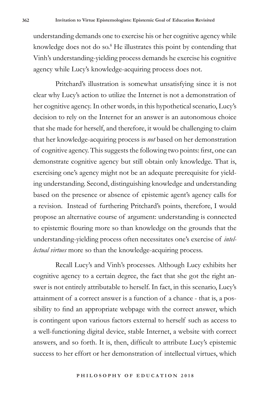understanding demands one to exercise his or her cognitive agency while knowledge does not do so.<sup>8</sup> He illustrates this point by contending that Vinh's understanding-yielding process demands he exercise his cognitive agency while Lucy's knowledge-acquiring process does not.

Pritchard's illustration is somewhat unsatisfying since it is not clear why Lucy's action to utilize the Internet is not a demonstration of her cognitive agency. In other words, in this hypothetical scenario, Lucy's decision to rely on the Internet for an answer is an autonomous choice that she made for herself, and therefore, it would be challenging to claim that her knowledge-acquiring process is *not* based on her demonstration of cognitive agency. This suggests the following two points: first, one can demonstrate cognitive agency but still obtain only knowledge. That is, exercising one's agency might not be an adequate prerequisite for yielding understanding. Second, distinguishing knowledge and understanding based on the presence or absence of epistemic agent's agency calls for a revision. Instead of furthering Pritchard's points, therefore, I would propose an alternative course of argument: understanding is connected to epistemic flouring more so than knowledge on the grounds that the understanding-yielding process often necessitates one's exercise of *intellectual virtues* more so than the knowledge-acquiring process.

Recall Lucy's and Vinh's processes. Although Lucy exhibits her cognitive agency to a certain degree, the fact that she got the right answer is not entirely attributable to herself. In fact, in this scenario, Lucy's attainment of a correct answer is a function of a chance - that is, a possibility to find an appropriate webpage with the correct answer, which is contingent upon various factors external to herself such as access to a well-functioning digital device, stable Internet, a website with correct answers, and so forth. It is, then, difficult to attribute Lucy's epistemic success to her effort or her demonstration of intellectual virtues, which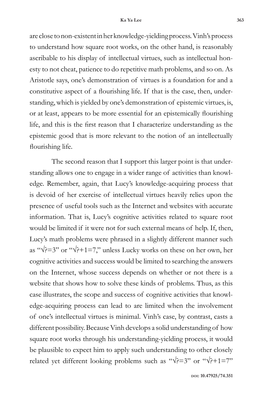are close to non-existent in her knowledge-yielding process. Vinh's process to understand how square root works, on the other hand, is reasonably ascribable to his display of intellectual virtues, such as intellectual honesty to not cheat, patience to do repetitive math problems, and so on. As Aristotle says, one's demonstration of virtues is a foundation for and a constitutive aspect of a flourishing life. If that is the case, then, understanding, which is yielded by one's demonstration of epistemic virtues, is, or at least, appears to be more essential for an epistemically flourishing life, and this is the first reason that I characterize understanding as the epistemic good that is more relevant to the notion of an intellectually flourishing life.

The second reason that I support this larger point is that understanding allows one to engage in a wider range of activities than knowledge. Remember, again, that Lucy's knowledge-acquiring process that is devoid of her exercise of intellectual virtues heavily relies upon the presence of useful tools such as the Internet and websites with accurate information. That is, Lucy's cognitive activities related to square root would be limited if it were not for such external means of help. If, then, Lucy's math problems were phrased in a slightly different manner such as " $\sqrt{2} = 3$ " or " $\sqrt{2} + 1 = 7$ ," unless Lucky works on these on her own, her cognitive activities and success would be limited to searching the answers on the Internet, whose success depends on whether or not there is a website that shows how to solve these kinds of problems. Thus, as this case illustrates, the scope and success of cognitive activities that knowledge-acquiring process can lead to are limited when the involvement of one's intellectual virtues is minimal. Vinh's case, by contrast, casts a different possibility. Because Vinh develops a solid understanding of how square root works through his understanding-yielding process, it would be plausible to expect him to apply such understanding to other closely related yet different looking problems such as " $\sqrt{?}$ =3" or " $\sqrt{?}$ +1=7"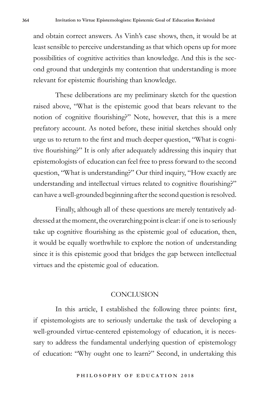and obtain correct answers. As Vinh's case shows, then, it would be at least sensible to perceive understanding as that which opens up for more possibilities of cognitive activities than knowledge. And this is the second ground that undergirds my contention that understanding is more relevant for epistemic flourishing than knowledge.

These deliberations are my preliminary sketch for the question raised above, "What is the epistemic good that bears relevant to the notion of cognitive flourishing?" Note, however, that this is a mere prefatory account. As noted before, these initial sketches should only urge us to return to the first and much deeper question, "What is cognitive flourishing?" It is only after adequately addressing this inquiry that epistemologists of education can feel free to press forward to the second question, "What is understanding?" Our third inquiry, "How exactly are understanding and intellectual virtues related to cognitive flourishing?" can have a well-grounded beginning after the second question is resolved.

Finally, although all of these questions are merely tentatively addressed at the moment, the overarching point is clear: if one is to seriously take up cognitive flourishing as the epistemic goal of education, then, it would be equally worthwhile to explore the notion of understanding since it is this epistemic good that bridges the gap between intellectual virtues and the epistemic goal of education.

### CONCLUSION

In this article, I established the following three points: first, if epistemologists are to seriously undertake the task of developing a well-grounded virtue-centered epistemology of education, it is necessary to address the fundamental underlying question of epistemology of education: "Why ought one to learn?" Second, in undertaking this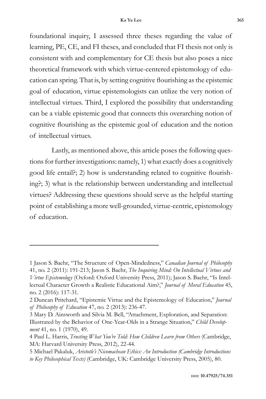foundational inquiry, I assessed three theses regarding the value of learning, PE, CE, and FI theses, and concluded that FI thesis not only is consistent with and complementary for CE thesis but also poses a nice theoretical framework with which virtue-centered epistemology of education can spring. That is, by setting cognitive flourishing as the epistemic goal of education, virtue epistemologists can utilize the very notion of intellectual virtues. Third, I explored the possibility that understanding can be a viable epistemic good that connects this overarching notion of cognitive flourishing as the epistemic goal of education and the notion of intellectual virtues.

Lastly, as mentioned above, this article poses the following questions for further investigations: namely, 1) what exactly does a cognitively good life entail?; 2) how is understanding related to cognitive flourishing?; 3) what is the relationship between understanding and intellectual virtues? Addressing these questions should serve as the helpful starting point of establishing a more well-grounded, virtue-centric, epistemology of education.

<sup>1</sup> Jason S. Baehr, "The Structure of Open-Mindedness," *Canadian Journal of Philosophy*  41, no. 2 (2011): 191-213; Jason S. Baehr, *The Inquiring Mind: On Intellectual Virtues and Virtue Epistemology* (Oxford: Oxford University Press, 2011); Jason S. Baehr, "Is Intellectual Character Growth a Realistic Educational Aim?," *Journal of Moral Education* 45, no. 2 (2016): 117-31.

<sup>2</sup> Duncan Pritchard, "Epistemic Virtue and the Epistemology of Education," *Journal of Philosophy of Education* 47, no. 2 (2013): 236-47.

<sup>3</sup> Mary D. Ainsworth and Silvia M. Bell, "Attachment, Exploration, and Separation: Illustrated by the Behavior of One-Year-Olds in a Strange Situation," *Child Development* 41, no. 1 (1970), 49.

<sup>4</sup> Paul L. Harris, *Trusting What You're Told: How Children Learn from Others* (Cambridge, MA: Harvard University Press, 2012), 22-44.

<sup>5</sup> Michael Pakaluk, *Aristotle's Nicomachean Ethics: An Introduction (Cambridge Introductions to Key Philosophical Texts)* (Cambridge, UK: Cambridge University Press, 2005), 80.